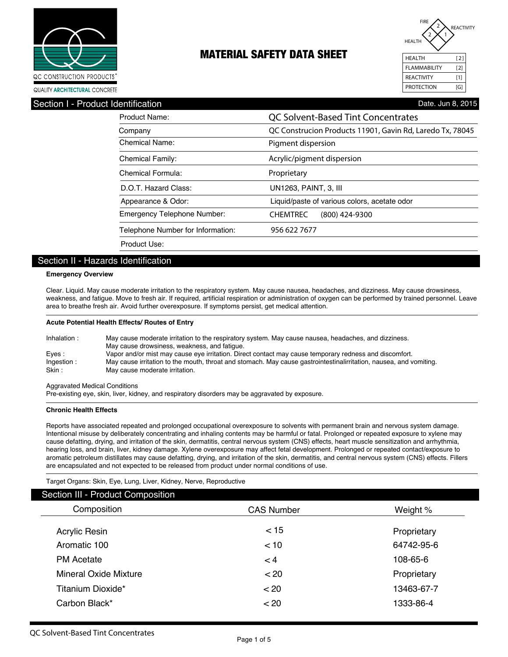



Section I - Prod

| Product Name:                      | <b>QC Solvent-Based Tint Concentrates</b><br>QC Construcion Products 11901, Gavin Rd, Laredo Tx, 78045<br>Pigment dispersion |  |  |  |
|------------------------------------|------------------------------------------------------------------------------------------------------------------------------|--|--|--|
| Company                            |                                                                                                                              |  |  |  |
| Chemical Name:                     |                                                                                                                              |  |  |  |
| <b>Chemical Family:</b>            | Acrylic/pigment dispersion                                                                                                   |  |  |  |
| Chemical Formula:                  | Proprietary                                                                                                                  |  |  |  |
| D.O.T. Hazard Class:               | UN1263, PAINT, 3, III                                                                                                        |  |  |  |
| Appearance & Odor:                 | Liquid/paste of various colors, acetate odor                                                                                 |  |  |  |
| <b>Emergency Telephone Number:</b> | <b>CHEMTREC</b><br>(800) 424-9300                                                                                            |  |  |  |
| Telephone Number for Information:  | 956 622 7677                                                                                                                 |  |  |  |
| Product Use:                       |                                                                                                                              |  |  |  |

### Section II - Hazards Identification

#### **Emergency Overview**

Clear. Liquid. May cause moderate irritation to the respiratory system. May cause nausea, headaches, and dizziness. May cause drowsiness, weakness, and fatigue. Move to fresh air. If required, artificial respiration or administration of oxygen can be performed by trained personnel. Leave area to breathe fresh air. Avoid further overexposure. If symptoms persist, get medical attention.

#### **Acute Potential Health Effects/ Routes of Entry**

| Inhalation: | May cause moderate irritation to the respiratory system. May cause nausea, headaches, and dizziness.<br>May cause drowsiness, weakness, and fatique. |
|-------------|------------------------------------------------------------------------------------------------------------------------------------------------------|
| Eyes:       | Vapor and/or mist may cause eye irritation. Direct contact may cause temporary redness and discomfort.                                               |
| Ingestion:  | May cause irritation to the mouth, throat and stomach. May cause gastrointestinalirritation, nausea, and vomiting.                                   |
| Skin :      | May cause moderate irritation.                                                                                                                       |

Aggravated Medical Conditions

Pre-existing eye, skin, liver, kidney, and respiratory disorders may be aggravated by exposure.

#### **Chronic Health Effects**

Reports have associated repeated and prolonged occupational overexposure to solvents with permanent brain and nervous system damage. Intentional misuse by deliberately concentrating and inhaling contents may be harmful or fatal. Prolonged or repeated exposure to xylene may cause defatting, drying, and irritation of the skin, dermatitis, central nervous system (CNS) effects, heart muscle sensitization and arrhythmia, hearing loss, and brain, liver, kidney damage. Xylene overexposure may affect fetal development. Prolonged or repeated contact/exposure to aromatic petroleum distillates may cause defatting, drying, and irritation of the skin, dermatitis, and central nervous system (CNS) effects. Fillers are encapsulated and not expected to be released from product under normal conditions of use.

Target Organs: Skin, Eye, Lung, Liver, Kidney, Nerve, Reproductive

| <b>Section III - Product Composition</b> |                   |             |  |  |  |
|------------------------------------------|-------------------|-------------|--|--|--|
| Composition                              | <b>CAS Number</b> | Weight %    |  |  |  |
| Acrylic Resin                            | $<$ 15            | Proprietary |  |  |  |
| Aromatic 100                             | < 10              | 64742-95-6  |  |  |  |
| <b>PM</b> Acetate                        | $\lt 4$           | 108-65-6    |  |  |  |
| <b>Mineral Oxide Mixture</b>             | < 20              | Proprietary |  |  |  |
| Titanium Dioxide*                        | < 20              | 13463-67-7  |  |  |  |
| Carbon Black*                            | < 20              | 1333-86-4   |  |  |  |
|                                          |                   |             |  |  |  |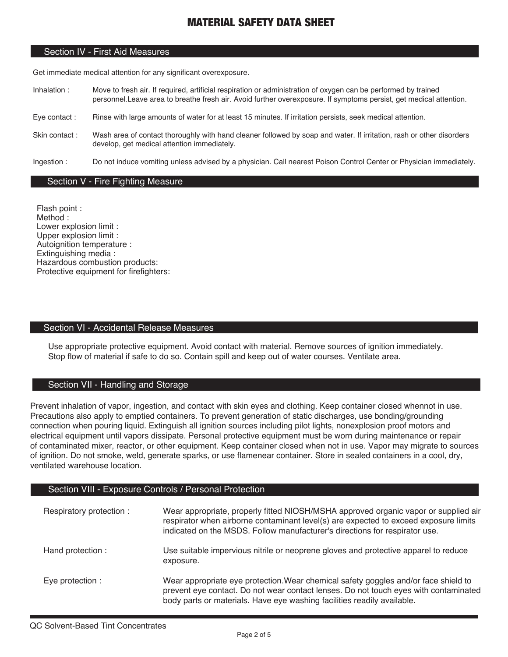### Section IV - First Aid Measures

Get immediate medical attention for any significant overexposure.

- Inhalation : Move to fresh air. If required, artificial respiration or administration of oxygen can be performed by trained personnel.Leave area to breathe fresh air. Avoid further overexposure. If symptoms persist, get medical attention.
- Eye contact : Rinse with large amounts of water for at least 15 minutes. If irritation persists, seek medical attention.
- Skin contact : Wash area of contact thoroughly with hand cleaner followed by soap and water. If irritation, rash or other disorders develop, get medical attention immediately.
- Ingestion : Do not induce vomiting unless advised by a physician. Call nearest Poison Control Center or Physician immediately.

### Section V - Fire Fighting Measure

Flash point : Method : Lower explosion limit : Upper explosion limit : Autoignition temperature : Extinguishing media : Hazardous combustion products: Protective equipment for firefighters:

### Section VI - Accidental Release Measures

Use appropriate protective equipment. Avoid contact with material. Remove sources of ignition immediately. Stop flow of material if safe to do so. Contain spill and keep out of water courses. Ventilate area.

### Section VII - Handling and Storage

Prevent inhalation of vapor, ingestion, and contact with skin eyes and clothing. Keep container closed whennot in use. Precautions also apply to emptied containers. To prevent generation of static discharges, use bonding/grounding connection when pouring liquid. Extinguish all ignition sources including pilot lights, nonexplosion proof motors and electrical equipment until vapors dissipate. Personal protective equipment must be worn during maintenance or repair of contaminated mixer, reactor, or other equipment. Keep container closed when not in use. Vapor may migrate to sources of ignition. Do not smoke, weld, generate sparks, or use flamenear container. Store in sealed containers in a cool, dry, ventilated warehouse location.

### Section VIII - Exposure Controls / Personal Protection

| Respiratory protection: | Wear appropriate, properly fitted NIOSH/MSHA approved organic vapor or supplied air<br>respirator when airborne contaminant level(s) are expected to exceed exposure limits<br>indicated on the MSDS. Follow manufacturer's directions for respirator use. |
|-------------------------|------------------------------------------------------------------------------------------------------------------------------------------------------------------------------------------------------------------------------------------------------------|
| Hand protection:        | Use suitable impervious nitrile or neoprene gloves and protective apparel to reduce<br>exposure.                                                                                                                                                           |
| Eye protection :        | Wear appropriate eye protection. Wear chemical safety goggles and/or face shield to<br>prevent eye contact. Do not wear contact lenses. Do not touch eyes with contaminated<br>body parts or materials. Have eye washing facilities readily available.     |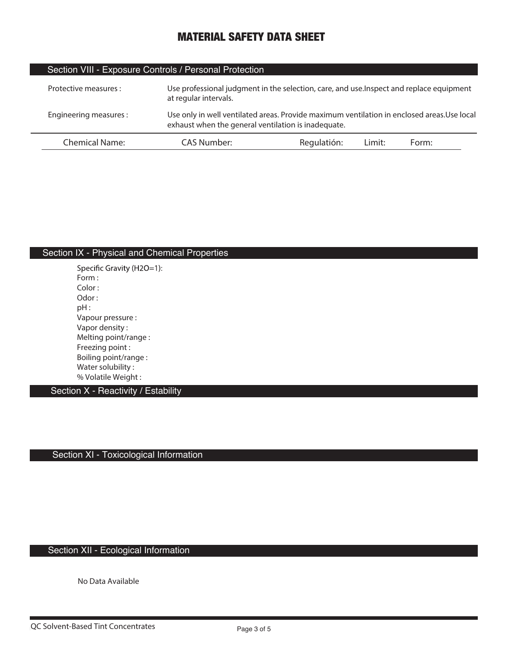| Section VIII - Exposure Controls / Personal Protection |                                                                                                                                                    |             |        |       |  |
|--------------------------------------------------------|----------------------------------------------------------------------------------------------------------------------------------------------------|-------------|--------|-------|--|
| Protective measures :                                  | Use professional judgment in the selection, care, and use. Inspect and replace equipment<br>at regular intervals.                                  |             |        |       |  |
| Engineering measures:                                  | Use only in well ventilated areas. Provide maximum ventilation in enclosed areas. Use local<br>exhaust when the general ventilation is inadequate. |             |        |       |  |
| Chemical Name:                                         | CAS Number:                                                                                                                                        | Regulatión: | Limit: | Form: |  |

## Section IX - Physical and Chemical Properties

Specific Gravity (H2O=1): **Form : Color : Odor : pH : Vapour pressure : Vapor density : Melting point/range : Freezing point : Boiling point/range : Water solubility : % Volatile Weight :** 

Section X - Reactivity / Estability

Section XI - Toxicological Information

## Section XII - Ecological Information

**No Data Available**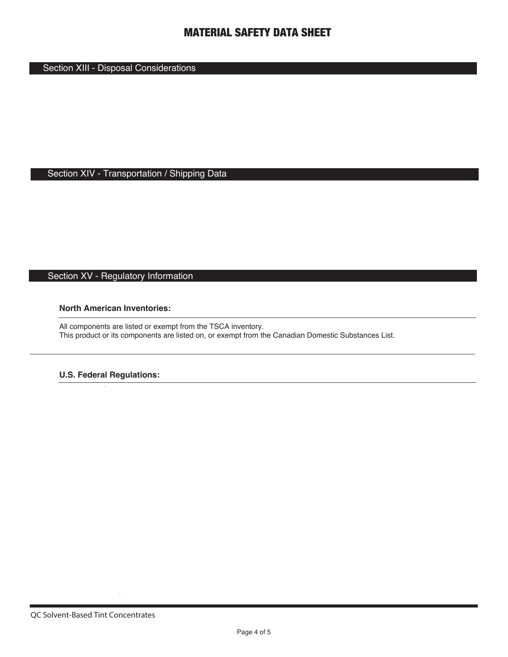## Section XIII - Disposal Considerations

## Section XIV - Transportation / Shipping Data

# Section XV - Regulatory Information

### **North American Inventories:**

All components are listed or exempt from the TSCA inventory. This product or its components are listed on, or exempt from the Canadian Domestic Substances List.

### **U.S. Federal Regulations:**

 $\sim$